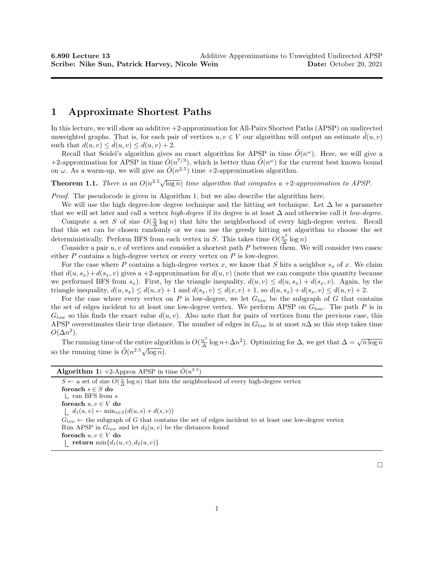## 1 Approximate Shortest Paths

In this lecture, we will show an additive +2-approximation for All-Pairs Shortest Paths (APSP) on undirected unweighted graphs. That is, for each pair of vertices  $u, v \in V$  our algorithm will output an estimate  $d(u, v)$ such that  $d(u, v) \leq d(u, v) \leq d(u, v) + 2$ .

Recall that Seidel's algorithm gives an exact algorithm for APSP in time  $\tilde{O}(n^{\omega})$ . Here, we will give a +2-approximation for APSP in time  $\tilde{O}(n^{7/3})$ , which is better than  $\tilde{O}(n^{\omega})$  for the current best known bound on  $\omega$ . As a warm-up, we will give an  $\tilde{O}(n^{2.5})$  time +2-approximation algorithm.

**Theorem 1.1.** There is an  $O(n^{2.5}\sqrt{\log n})$  time algorithm that computes a +2-approximation to APSP.

Proof. The pseudocode is given in Algorithm 1, but we also describe the algorithm here.

We will use the high degree-low degree technique and the hitting set technique. Let  $\Delta$  be a parameter that we will set later and call a vertex *high-degree* if its degree is at least  $\Delta$  and otherwise call it *low-degree*.

Compute a set S of size  $O(\frac{n}{\Delta}\log n)$  that hits the neighborhood of every high-degree vertex. Recall that this set can be chosen randomly or we can use the greedy hitting set algorithm to choose the set deterministically. Perform BFS from each vertex in S. This takes time  $O(\frac{n^3}{\Delta})$  $\frac{n^{\circ}}{\Delta} \log n$ 

Consider a pair  $u, v$  of vertices and consider a shortest path P between them. We will consider two cases: either  $P$  contains a high-degree vertex or every vertex on  $P$  is low-degree.

For the case where P contains a high-degree vertex x, we know that S hits a neighbor  $s_x$  of x. We claim that  $d(u, s_x) + d(s_x, v)$  gives a +2-approximation for  $d(u, v)$  (note that we can compute this quantity because we performed BFS from  $s_x$ ). First, by the triangle inequality,  $d(u, v) \leq d(u, s_x) + d(s_x, v)$ . Again, by the triangle inequality,  $d(u, s_x) \leq d(u, x) + 1$  and  $d(s_x, v) \leq d(x, v) + 1$ , so  $d(u, s_x) + d(s_x, v) \leq d(u, v) + 2$ .

For the case where every vertex on P is low-degree, we let  $G_{low}$  be the subgraph of G that contains the set of edges incident to at least one low-degree vertex. We perform APSP on  $G_{low}$ . The path P is in  $G_{low}$  so this finds the exact value  $d(u, v)$ . Also note that for pairs of vertices from the previous case, this APSP overestimates their true distance. The number of edges in  $G_{low}$  is at most  $n\Delta$  so this step takes time  $O(\Delta n^2)$ .

The running time of the entire algorithm is  $O(\frac{n^3}{\Delta})$  $\frac{n^3}{\Delta} \log n + \Delta n^2$ ). Optimizing for  $\Delta$ , we get that  $\Delta = \sqrt{n \log n}$ so the running time is  $\tilde{O}(n^{2.5}\sqrt{\log n})$ .

| <b>Algorithm 1:</b> +2-Approx APSP in time $\tilde{O}(n^{2.5})$                                                  |
|------------------------------------------------------------------------------------------------------------------|
| $S \leftarrow$ a set of size $O(\frac{n}{\Delta} \log n)$ that hits the neighborhood of every high-degree vertex |
| foreach $s \in S$ do                                                                                             |
| $\perp$ run BFS from s                                                                                           |
| foreach $u, v \in V$ do                                                                                          |
| $d_1(u, v) \leftarrow \min_{s \in S} (d(u, s) + d(s, v))$                                                        |
| $G_{low} \leftarrow$ the subgraph of G that contains the set of edges incident to at least one low-degree vertex |
| Run APSP in $G_{low}$ and let $d_2(u, v)$ be the distances found                                                 |
| foreach $u, v \in V$ do                                                                                          |
| return $\min\{d_1(u,v), d_2(u,v)\}\$                                                                             |

 $\Box$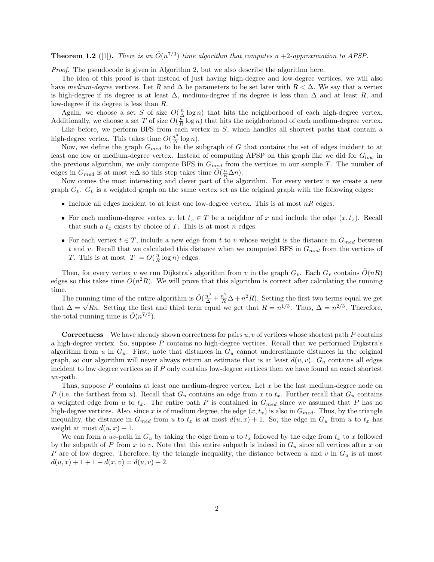## **Theorem 1.2** ([1]). There is an  $\tilde{O}(n^{7/3})$  time algorithm that computes a +2-approximation to APSP.

Proof. The pseudocode is given in Algorithm 2, but we also describe the algorithm here.

The idea of this proof is that instead of just having high-degree and low-degree vertices, we will also have medium-degree vertices. Let R and  $\Delta$  be parameters to be set later with  $R < \Delta$ . We say that a vertex is high-degree if its degree is at least  $\Delta$ , medium-degree if its degree is less than  $\Delta$  and at least R, and low-degree if its degree is less than R.

Again, we choose a set S of size  $O(\frac{n}{\Delta}\log n)$  that hits the neighborhood of each high-degree vertex. Additionally, we choose a set T of size  $O(\frac{n}{R} \log n)$  that hits the neighborhood of each medium-degree vertex.

Like before, we perform BFS from each vertex in  $S$ , which handles all shortest paths that contain a high-degree vertex. This takes time  $O(\frac{n^3}{\Delta})$  $\frac{n^{\circ}}{\Delta} \log n$ .

Now, we define the graph  $G_{med}$  to be the subgraph of G that contains the set of edges incident to at least one low or medium-degree vertex. Instead of computing APSP on this graph like we did for  $G_{low}$  in the previous algorithm, we only compute BFS in  $G_{med}$  from the vertices in our sample T. The number of edges in  $G_{med}$  is at most  $n\Delta$  so this step takes time  $\tilde{O}(\frac{n}{R}\Delta n)$ .

Now comes the most interesting and clever part of the algorithm. For every vertex  $v$  we create a new graph  $G_v$ .  $G_v$  is a weighted graph on the same vertex set as the original graph with the following edges:

- Include all edges incident to at least one low-degree vertex. This is at most  $nR$  edges.
- For each medium-degree vertex x, let  $t_x \in T$  be a neighbor of x and include the edge  $(x, t_x)$ . Recall that such a  $t_x$  exists by choice of T. This is at most n edges.
- For each vertex  $t \in T$ , include a new edge from t to v whose weight is the distance in  $G_{med}$  between t and v. Recall that we calculated this distance when we computed BFS in  $G_{med}$  from the vertices of T. This is at most  $|T| = O(\frac{n}{R} \log n)$  edges.

Then, for every vertex v we run Dijkstra's algorithm from v in the graph  $G_v$ . Each  $G_v$  contains  $\tilde{O}(nR)$ edges so this takes time  $\tilde{O}(n^2R)$ . We will prove that this algorithm is correct after calculating the running time.

The running time of the entire algorithm is  $\tilde{O}(\frac{n^3}{\Delta} + \frac{n^2}{R}\Delta + n^2R)$ . Setting the first two terms equal we get that  $\Delta = \sqrt{Rn}$ . Setting the first and third term equal we get that  $R = n^{1/3}$ . Thus,  $\Delta = n^{2/3}$ . Therefore, the total running time is  $\tilde{O}(n^{7/3})$ .

**Correctness** We have already shown correctness for pairs  $u, v$  of vertices whose shortest path  $P$  contains a high-degree vertex. So, suppose P contains no high-degree vertices. Recall that we performed Dijkstra's algorithm from u in  $G_u$ . First, note that distances in  $G_u$  cannot underestimate distances in the original graph, so our algorithm will never always return an estimate that is at least  $d(u, v)$ .  $G_u$  contains all edges incident to low degree vertices so if P only contains low-degree vertices then we have found an exact shortest uv-path.

Thus, suppose  $P$  contains at least one medium-degree vertex. Let  $x$  be the last medium-degree node on P (i.e. the farthest from u). Recall that  $G_u$  contains an edge from x to  $t_x$ . Further recall that  $G_u$  contains a weighted edge from u to  $t_x$ . The entire path P is contained in  $G_{med}$  since we assumed that P has no high-degree vertices. Also, since x is of medium degree, the edge  $(x, t_x)$  is also in  $G_{med}$ . Thus, by the triangle inequality, the distance in  $G_{med}$  from u to  $t_x$  is at most  $d(u, x) + 1$ . So, the edge in  $G_u$  from u to  $t_x$  has weight at most  $d(u, x) + 1$ .

We can form a uv-path in  $G_u$  by taking the edge from u to  $t_x$  followed by the edge from  $t_x$  to x followed by the subpath of P from x to v. Note that this entire subpath is indeed in  $G_u$  since all vertices after x on P are of low degree. Therefore, by the triangle inequality, the distance between u and v in  $G_u$  is at most  $d(u, x) + 1 + 1 + d(x, v) = d(u, v) + 2.$